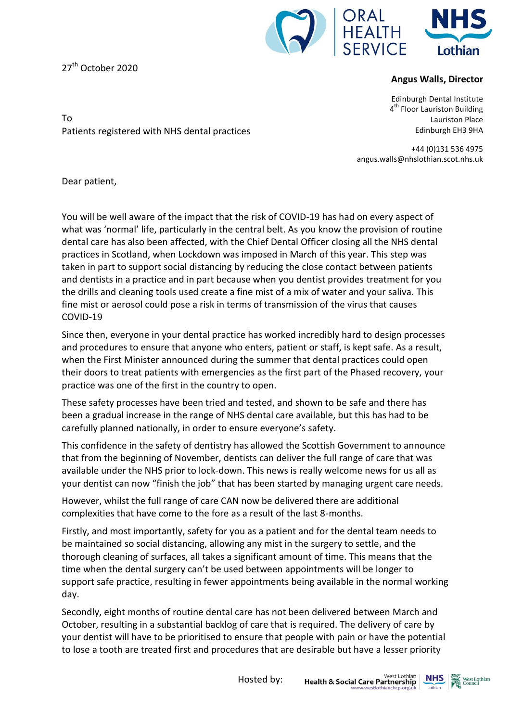

27<sup>th</sup> October 2020

Patients registered with NHS dental practices

## **Angus Walls, Director**

Edinburgh Dental Institute 4<sup>th</sup> Floor Lauriston Building Lauriston Place Edinburgh EH3 9HA

+44 (0)131 536 4975 angus.walls@nhslothian.scot.nhs.uk

Dear patient,

To

You will be well aware of the impact that the risk of COVID-19 has had on every aspect of what was 'normal' life, particularly in the central belt. As you know the provision of routine dental care has also been affected, with the Chief Dental Officer closing all the NHS dental practices in Scotland, when Lockdown was imposed in March of this year. This step was taken in part to support social distancing by reducing the close contact between patients and dentists in a practice and in part because when you dentist provides treatment for you the drills and cleaning tools used create a fine mist of a mix of water and your saliva. This fine mist or aerosol could pose a risk in terms of transmission of the virus that causes COVID-19

Since then, everyone in your dental practice has worked incredibly hard to design processes and procedures to ensure that anyone who enters, patient or staff, is kept safe. As a result, when the First Minister announced during the summer that dental practices could open their doors to treat patients with emergencies as the first part of the Phased recovery, your practice was one of the first in the country to open.

These safety processes have been tried and tested, and shown to be safe and there has been a gradual increase in the range of NHS dental care available, but this has had to be carefully planned nationally, in order to ensure everyone's safety.

This confidence in the safety of dentistry has allowed the Scottish Government to announce that from the beginning of November, dentists can deliver the full range of care that was available under the NHS prior to lock-down. This news is really welcome news for us all as your dentist can now "finish the job" that has been started by managing urgent care needs.

However, whilst the full range of care CAN now be delivered there are additional complexities that have come to the fore as a result of the last 8-months.

Firstly, and most importantly, safety for you as a patient and for the dental team needs to be maintained so social distancing, allowing any mist in the surgery to settle, and the thorough cleaning of surfaces, all takes a significant amount of time. This means that the time when the dental surgery can't be used between appointments will be longer to support safe practice, resulting in fewer appointments being available in the normal working day.

Secondly, eight months of routine dental care has not been delivered between March and October, resulting in a substantial backlog of care that is required. The delivery of care by your dentist will have to be prioritised to ensure that people with pain or have the potential to lose a tooth are treated first and procedures that are desirable but have a lesser priority